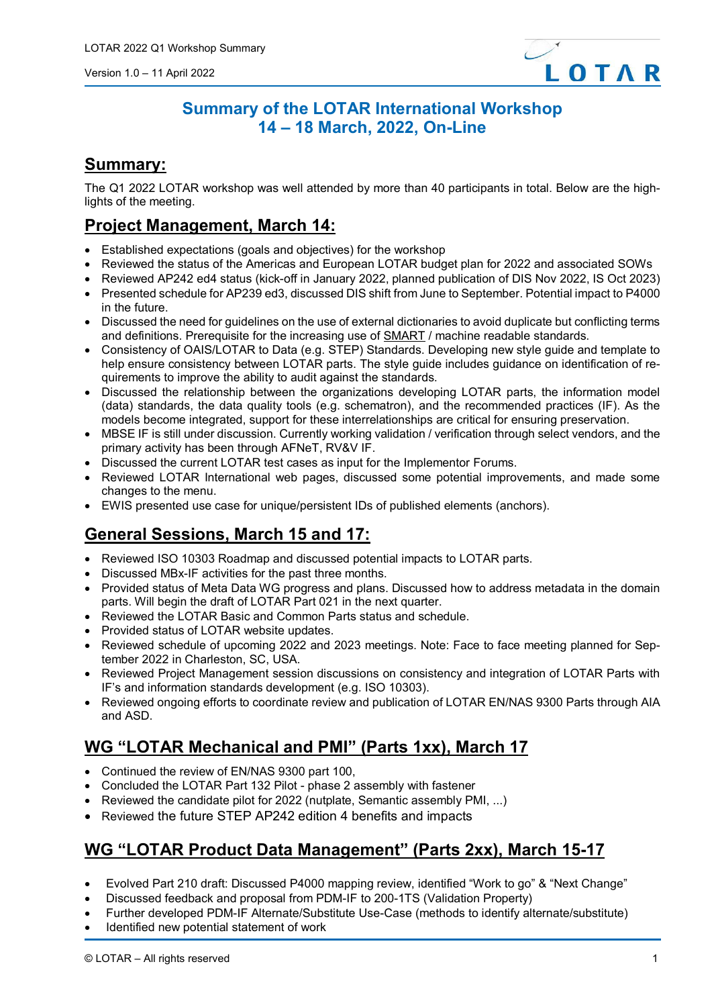

#### **Summary of the LOTAR International Workshop 14 – 18 March, 2022, On-Line**

#### **Summary:**

The Q1 2022 LOTAR workshop was well attended by more than 40 participants in total. Below are the highlights of the meeting.

## **Project Management, March 14:**

- Established expectations (goals and objectives) for the workshop
- Reviewed the status of the Americas and European LOTAR budget plan for 2022 and associated SOWs
- Reviewed AP242 ed4 status (kick-off in January 2022, planned publication of DIS Nov 2022, IS Oct 2023)
- Presented schedule for AP239 ed3, discussed DIS shift from June to September. Potential impact to P4000 in the future.
- Discussed the need for guidelines on the use of external dictionaries to avoid duplicate but conflicting terms and definitions. Prerequisite for the increasing use of [SMART](https://www.afnet.fr/Content/2021-06-0102-ASD-Programme/2021-06-01-prez-PDF/ASD2021-01-JeanBrange.pdf#:%7E:text=What%20is%20a%20SMART%20Standard%20%3F%20Standards%20that,published%20digitaly%20%E2%80%A2Opportunity%20to%20use%20them%20as%20databases?msclkid=0018b492b3d411ec8dd132c93633af5d) / machine readable standards.
- Consistency of OAIS/LOTAR to Data (e.g. STEP) Standards. Developing new style guide and template to help ensure consistency between LOTAR parts. The style guide includes guidance on identification of requirements to improve the ability to audit against the standards.
- Discussed the relationship between the organizations developing LOTAR parts, the information model (data) standards, the data quality tools (e.g. schematron), and the recommended practices (IF). As the models become integrated, support for these interrelationships are critical for ensuring preservation.
- MBSE IF is still under discussion. Currently working validation / verification through select vendors, and the primary activity has been through AFNeT, RV&V IF.
- Discussed the current LOTAR test cases as input for the Implementor Forums.
- Reviewed LOTAR International web pages, discussed some potential improvements, and made some changes to the menu.
- EWIS presented use case for unique/persistent IDs of published elements (anchors).

# **General Sessions, March 15 and 17:**

- Reviewed ISO 10303 Roadmap and discussed potential impacts to LOTAR parts.
- Discussed MBx-IF activities for the past three months.
- Provided status of Meta Data WG progress and plans. Discussed how to address metadata in the domain parts. Will begin the draft of LOTAR Part 021 in the next quarter.
- Reviewed the LOTAR Basic and Common Parts status and schedule.
- Provided status of LOTAR website updates.
- Reviewed schedule of upcoming 2022 and 2023 meetings. Note: Face to face meeting planned for September 2022 in Charleston, SC, USA.
- Reviewed Project Management session discussions on consistency and integration of LOTAR Parts with IF's and information standards development (e.g. ISO 10303).
- Reviewed ongoing efforts to coordinate review and publication of LOTAR EN/NAS 9300 Parts through AIA and ASD.

## **WG "LOTAR Mechanical and PMI" (Parts 1xx), March 17**

- Continued the review of EN/NAS 9300 part 100,
- Concluded the LOTAR Part 132 Pilot phase 2 assembly with fastener
- Reviewed the candidate pilot for 2022 (nutplate, Semantic assembly PMI, ...)
- Reviewed the future STEP AP242 edition 4 benefits and impacts

## **WG "LOTAR Product Data Management" (Parts 2xx), March 15-17**

- Evolved Part 210 draft: Discussed P4000 mapping review, identified "Work to go" & "Next Change"
- Discussed feedback and proposal from PDM-IF to 200-1TS (Validation Property)
- Further developed PDM-IF Alternate/Substitute Use-Case (methods to identify alternate/substitute)
- Identified new potential statement of work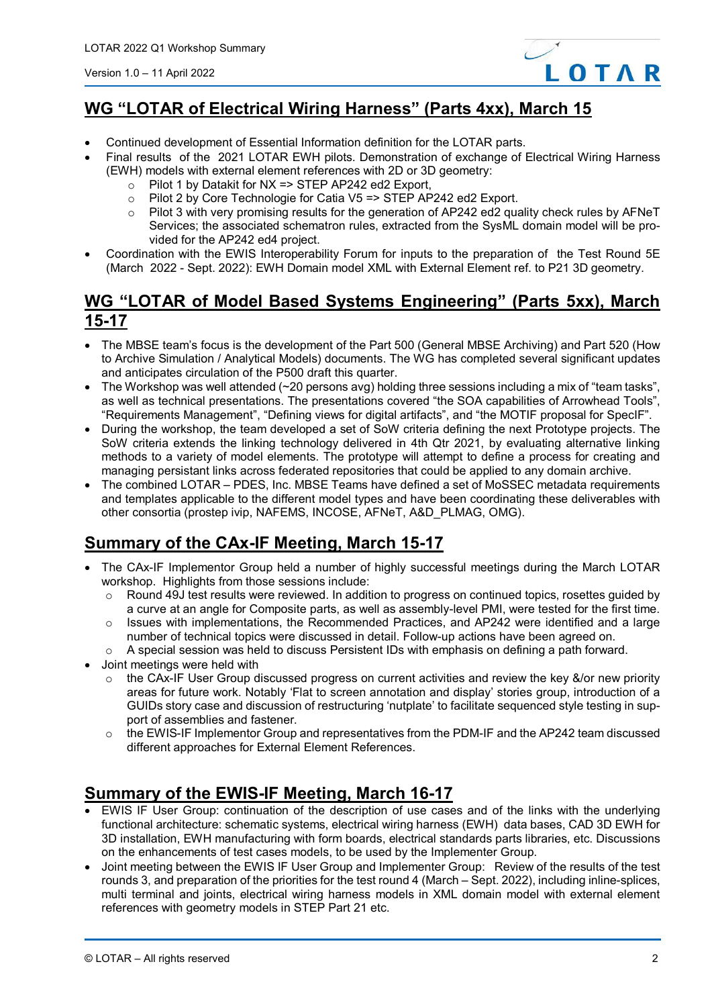

### **[WG "LOTAR of Electrical Wiring Harness"](http://www.lotar-international.org/lotar-workgroups/electrical-harness.html) (Parts 4xx), March 15**

- Continued development of Essential Information definition for the LOTAR parts.
- Final results of the 2021 LOTAR EWH pilots. Demonstration of exchange of Electrical Wiring Harness (EWH) models with external element references with 2D or 3D geometry:
	- $\circ$  Pilot 1 by Datakit for NX => STEP AP242 ed2 Export,<br> $\circ$  Pilot 2 by Core Technologie for Catia V5 => STEP AP
	- o Pilot 2 by Core Technologie for Catia V5 => STEP AP242 ed2 Export.<br>
	o Pilot 3 with very promising results for the generation of AP242 ed2 qua
	- Pilot 3 with very promising results for the generation of AP242 ed2 quality check rules by AFNeT Services; the associated schematron rules, extracted from the SysML domain model will be provided for the AP242 ed4 project.
- Coordination with the EWIS Interoperability Forum for inputs to the preparation of the Test Round 5E (March 2022 - Sept. 2022): EWH Domain model XML with External Element ref. to P21 3D geometry.

#### **[WG "LOTAR of Model Based Systems Engineering"](http://www.lotar-international.org/lotar-workgroups/electrical-harness.html) (Parts 5xx), March 15-17**

- The MBSE team's focus is the development of the Part 500 (General MBSE Archiving) and Part 520 (How to Archive Simulation / Analytical Models) documents. The WG has completed several significant updates and anticipates circulation of the P500 draft this quarter.
- The Workshop was well attended (~20 persons avg) holding three sessions including a mix of "team tasks", as well as technical presentations. The presentations covered "the SOA capabilities of Arrowhead Tools", "Requirements Management", "Defining views for digital artifacts", and "the MOTIF proposal for SpecIF".
- During the workshop, the team developed a set of SoW criteria defining the next Prototype projects. The SoW criteria extends the linking technology delivered in 4th Qtr 2021, by evaluating alternative linking methods to a variety of model elements. The prototype will attempt to define a process for creating and managing persistant links across federated repositories that could be applied to any domain archive.
- The combined LOTAR PDES, Inc. MBSE Teams have defined a set of MoSSEC metadata requirements and templates applicable to the different model types and have been coordinating these deliverables with other consortia (prostep ivip, NAFEMS, INCOSE, AFNeT, A&D\_PLMAG, OMG).

## **Summary of the CAx-IF Meeting, March 15-17**

- The CAx-IF Implementor Group held a number of highly successful meetings during the March LOTAR workshop. Highlights from those sessions include:
	- o Round 49J test results were reviewed. In addition to progress on continued topics, rosettes guided by a curve at an angle for Composite parts, as well as assembly-level PMI, were tested for the first time.
	- $\circ$  Issues with implementations, the Recommended Practices, and AP242 were identified and a large number of technical topics were discussed in detail. Follow-up actions have been agreed on.
	- $\circ$  A special session was held to discuss Persistent IDs with emphasis on defining a path forward.
- Joint meetings were held with
	- $\circ$  the CAx-IF User Group discussed progress on current activities and review the key &/or new priority areas for future work. Notably 'Flat to screen annotation and display' stories group, introduction of a GUIDs story case and discussion of restructuring 'nutplate' to facilitate sequenced style testing in support of assemblies and fastener.
	- the EWIS-IF Implementor Group and representatives from the PDM-IF and the AP242 team discussed different approaches for External Element References.

#### **Summary of the EWIS-IF Meeting, March 16-17**

- EWIS IF User Group: continuation of the description of use cases and of the links with the underlying functional architecture: schematic systems, electrical wiring harness (EWH) data bases, CAD 3D EWH for 3D installation, EWH manufacturing with form boards, electrical standards parts libraries, etc. Discussions on the enhancements of test cases models, to be used by the Implementer Group.
- Joint meeting between the EWIS IF User Group and Implementer Group: Review of the results of the test rounds 3, and preparation of the priorities for the test round 4 (March – Sept. 2022), including inline-splices, multi terminal and joints, electrical wiring harness models in XML domain model with external element references with geometry models in STEP Part 21 etc.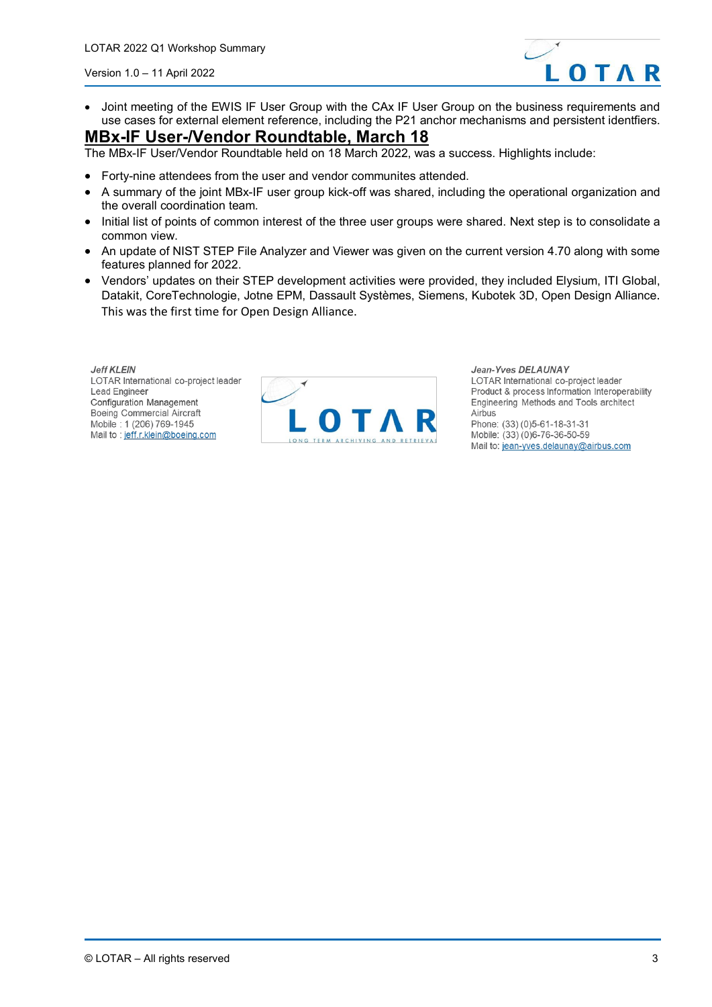

• Joint meeting of the EWIS IF User Group with the CAx IF User Group on the business requirements and use cases for external element reference, including the P21 anchor mechanisms and persistent identfiers.

#### **MBx-IF User-/Vendor Roundtable, March 18**

The MBx-IF User/Vendor Roundtable held on 18 March 2022, was a success. Highlights include:

- Forty-nine attendees from the user and vendor communites attended.
- A summary of the joint MBx-IF user group kick-off was shared, including the operational organization and the overall coordination team.
- Initial list of points of common interest of the three user groups were shared. Next step is to consolidate a common view.
- An update of NIST STEP File Analyzer and Viewer was given on the current version 4.70 along with some features planned for 2022.
- Vendors' updates on their STEP development activities were provided, they included Elysium, ITI Global, Datakit, CoreTechnologie, Jotne EPM, Dassault Systèmes, Siemens, Kubotek 3D, Open Design Alliance. This was the first time for Open Design Alliance.

**Jeff KLEIN** LOTAR International co-project leader Lead Engineer **Configuration Management** Boeing Commercial Aircraft Mobile: 1 (206) 769-1945 Mail to : jeff.r.klein@boeing.com



Jean-Yves DELAUNAY LOTAR International co-project leader Product & process Information Interoperability Engineering Methods and Tools architect Airbus Phone: (33) (0) 5-61-18-31-31 Mobile: (33) (0)6-76-36-50-59 Mail to: jean-yves.delaunay@airbus.com